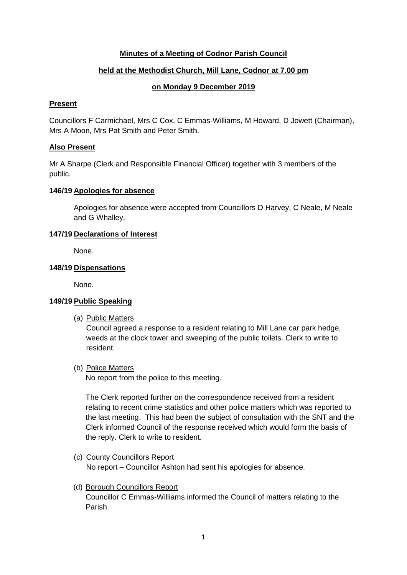# **Minutes of a Meeting of Codnor Parish Council**

# **held at the Methodist Church, Mill Lane, Codnor at 7.00 pm**

## **on Monday 9 December 2019**

### **Present**

Councillors F Carmichael, Mrs C Cox, C Emmas-Williams, M Howard, D Jowett (Chairman), Mrs A Moon, Mrs Pat Smith and Peter Smith.

## **Also Present**

Mr A Sharpe (Clerk and Responsible Financial Officer) together with 3 members of the public.

### **146/19 Apologies for absence**

Apologies for absence were accepted from Councillors D Harvey, C Neale, M Neale and G Whalley.

## **147/19 Declarations of Interest**

None.

### **148/19 Dispensations**

None.

## **149/19 Public Speaking**

(a) Public Matters

Council agreed a response to a resident relating to Mill Lane car park hedge, weeds at the clock tower and sweeping of the public toilets. Clerk to write to resident.

(b) Police Matters

No report from the police to this meeting.

The Clerk reported further on the correspondence received from a resident relating to recent crime statistics and other police matters which was reported to the last meeting. This had been the subject of consultation with the SNT and the Clerk informed Council of the response received which would form the basis of the reply. Clerk to write to resident.

- (c) County Councillors Report No report – Councillor Ashton had sent his apologies for absence.
- (d) Borough Councillors Report Councillor C Emmas-Williams informed the Council of matters relating to the Parish.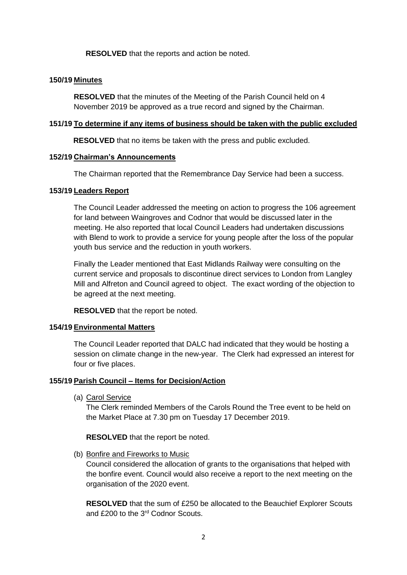**RESOLVED** that the reports and action be noted.

### **150/19 Minutes**

**RESOLVED** that the minutes of the Meeting of the Parish Council held on 4 November 2019 be approved as a true record and signed by the Chairman.

#### **151/19 To determine if any items of business should be taken with the public excluded**

**RESOLVED** that no items be taken with the press and public excluded.

### **152/19 Chairman's Announcements**

The Chairman reported that the Remembrance Day Service had been a success.

### **153/19 Leaders Report**

The Council Leader addressed the meeting on action to progress the 106 agreement for land between Waingroves and Codnor that would be discussed later in the meeting. He also reported that local Council Leaders had undertaken discussions with Blend to work to provide a service for young people after the loss of the popular youth bus service and the reduction in youth workers.

Finally the Leader mentioned that East Midlands Railway were consulting on the current service and proposals to discontinue direct services to London from Langley Mill and Alfreton and Council agreed to object. The exact wording of the objection to be agreed at the next meeting.

**RESOLVED** that the report be noted.

#### **154/19 Environmental Matters**

The Council Leader reported that DALC had indicated that they would be hosting a session on climate change in the new-year. The Clerk had expressed an interest for four or five places.

## **155/19 Parish Council – Items for Decision/Action**

(a) Carol Service

The Clerk reminded Members of the Carols Round the Tree event to be held on the Market Place at 7.30 pm on Tuesday 17 December 2019.

**RESOLVED** that the report be noted.

(b) Bonfire and Fireworks to Music

Council considered the allocation of grants to the organisations that helped with the bonfire event. Council would also receive a report to the next meeting on the organisation of the 2020 event.

**RESOLVED** that the sum of £250 be allocated to the Beauchief Explorer Scouts and £200 to the 3rd Codnor Scouts.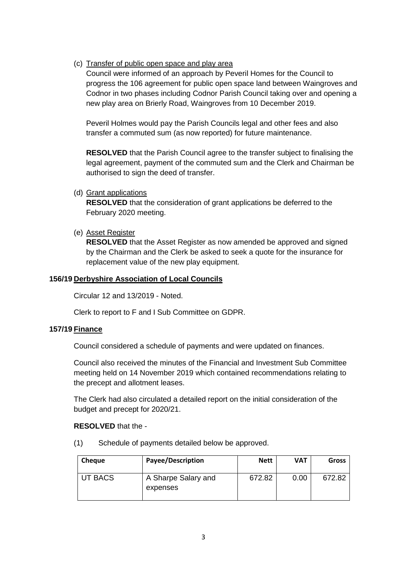# (c) Transfer of public open space and play area

Council were informed of an approach by Peveril Homes for the Council to progress the 106 agreement for public open space land between Waingroves and Codnor in two phases including Codnor Parish Council taking over and opening a new play area on Brierly Road, Waingroves from 10 December 2019.

Peveril Holmes would pay the Parish Councils legal and other fees and also transfer a commuted sum (as now reported) for future maintenance.

**RESOLVED** that the Parish Council agree to the transfer subject to finalising the legal agreement, payment of the commuted sum and the Clerk and Chairman be authorised to sign the deed of transfer.

(d) Grant applications

**RESOLVED** that the consideration of grant applications be deferred to the February 2020 meeting.

(e) Asset Register

**RESOLVED** that the Asset Register as now amended be approved and signed by the Chairman and the Clerk be asked to seek a quote for the insurance for replacement value of the new play equipment.

## **156/19 Derbyshire Association of Local Councils**

Circular 12 and 13/2019 - Noted.

Clerk to report to F and I Sub Committee on GDPR.

## **157/19 Finance**

Council considered a schedule of payments and were updated on finances.

Council also received the minutes of the Financial and Investment Sub Committee meeting held on 14 November 2019 which contained recommendations relating to the precept and allotment leases.

The Clerk had also circulated a detailed report on the initial consideration of the budget and precept for 2020/21.

## **RESOLVED** that the -

(1) Schedule of payments detailed below be approved.

| Cheque  | <b>Payee/Description</b>        | <b>Nett</b> | <b>VAT</b> | <b>Gross</b> |
|---------|---------------------------------|-------------|------------|--------------|
| UT BACS | A Sharpe Salary and<br>expenses | 672.82      | 0.00       | 672.82       |